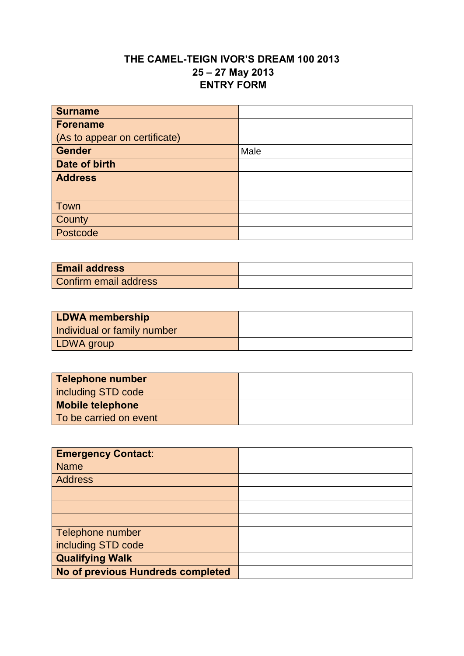## **THE CAMEL-TEIGN IVOR'S DREAM 100 2013 25 – 27 May 2013 ENTRY FORM**

| <b>Surname</b>                |      |
|-------------------------------|------|
| <b>Forename</b>               |      |
| (As to appear on certificate) |      |
| Gender                        | Male |
| Date of birth                 |      |
| <b>Address</b>                |      |
|                               |      |
| Town                          |      |
| County                        |      |
| Postcode                      |      |

| <b>Email address</b>  |  |
|-----------------------|--|
| Confirm email address |  |

| <b>LDWA membership</b>      |  |
|-----------------------------|--|
| Individual or family number |  |
| LDWA group                  |  |

| <b>Telephone number</b> |  |
|-------------------------|--|
| including STD code      |  |
| <b>Mobile telephone</b> |  |
| To be carried on event  |  |

| <b>Emergency Contact:</b>         |  |
|-----------------------------------|--|
| <b>Name</b>                       |  |
| Address                           |  |
|                                   |  |
|                                   |  |
|                                   |  |
| Telephone number                  |  |
| including STD code                |  |
| <b>Qualifying Walk</b>            |  |
| No of previous Hundreds completed |  |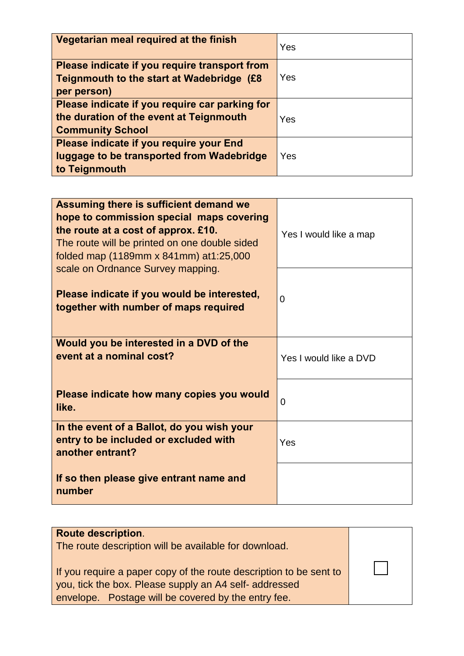| Vegetarian meal required at the finish                                                                               | Yes |
|----------------------------------------------------------------------------------------------------------------------|-----|
| Please indicate if you require transport from<br>Teignmouth to the start at Wadebridge (£8<br>per person)            | Yes |
| Please indicate if you require car parking for<br>the duration of the event at Teignmouth<br><b>Community School</b> | Yes |
| Please indicate if you require your End<br>luggage to be transported from Wadebridge<br>to Teignmouth                | Yes |

| Teignmouth to the start at Wadebridge (£8<br>per person)                                                                                                                                                                                                   | Yes                    |
|------------------------------------------------------------------------------------------------------------------------------------------------------------------------------------------------------------------------------------------------------------|------------------------|
| Please indicate if you require car parking for<br>the duration of the event at Teignmouth<br><b>Community School</b>                                                                                                                                       | Yes                    |
| Please indicate if you require your End<br>luggage to be transported from Wadebridge<br>to Teignmouth                                                                                                                                                      | Yes                    |
|                                                                                                                                                                                                                                                            |                        |
| Assuming there is sufficient demand we<br>hope to commission special maps covering<br>the route at a cost of approx. £10.<br>The route will be printed on one double sided<br>folded map (1189mm x 841mm) at 1:25,000<br>scale on Ordnance Survey mapping. | Yes I would like a map |
| Please indicate if you would be interested,<br>together with number of maps required                                                                                                                                                                       | $\overline{0}$         |
| Would you be interested in a DVD of the<br>event at a nominal cost?                                                                                                                                                                                        | Yes I would like a DVD |
| Please indicate how many copies you would<br>like.                                                                                                                                                                                                         | 0                      |
| In the event of a Ballot, do you wish your<br>entry to be included or excluded with<br>another entrant?                                                                                                                                                    | Yes                    |
| If so then please give entrant name and<br>number                                                                                                                                                                                                          |                        |

| <b>Route description.</b><br>The route description will be available for download.<br>If you require a paper copy of the route description to be sent to<br>you, tick the box. Please supply an A4 self-addressed<br>envelope. Postage will be covered by the entry fee. |  |
|--------------------------------------------------------------------------------------------------------------------------------------------------------------------------------------------------------------------------------------------------------------------------|--|
|                                                                                                                                                                                                                                                                          |  |
|                                                                                                                                                                                                                                                                          |  |
|                                                                                                                                                                                                                                                                          |  |